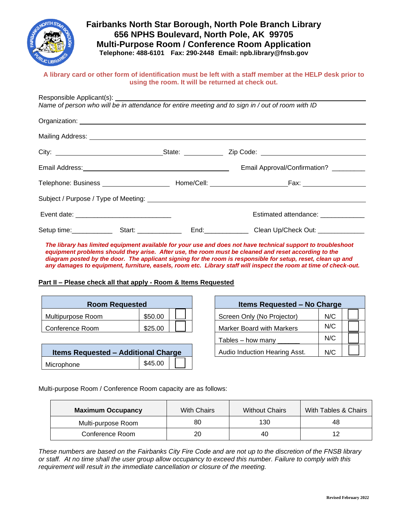

# **Fairbanks North Star Borough, North Pole Branch Library 656 NPHS Boulevard, North Pole, AK 99705 Multi-Purpose Room / Conference Room Application Telephone: 488-6101 Fax: 290-2448 Email: npb.library@fnsb.gov**

#### **A library card or other form of identification must be left with a staff member at the HELP desk prior to using the room. It will be returned at check out.**

| Name of person who will be in attendance for entire meeting and to sign in / out of room with ID |                                        |
|--------------------------------------------------------------------------------------------------|----------------------------------------|
|                                                                                                  |                                        |
|                                                                                                  |                                        |
|                                                                                                  |                                        |
|                                                                                                  | Email Approval/Confirmation? _________ |
|                                                                                                  |                                        |
|                                                                                                  |                                        |
|                                                                                                  | Estimated attendance: ______________   |
|                                                                                                  |                                        |

*diagram posted by the door. The applicant signing for the room is responsible for setup, reset, clean up and any damages to equipment, furniture, easels, room etc. Library staff will inspect the room at time of check-out.*

### **Part II – Please check all that apply - Room & Items Requested**

| <b>Room Requested</b> |         |  |  | <b>Items Requested - No Chard</b> |     |
|-----------------------|---------|--|--|-----------------------------------|-----|
| Multipurpose Room     | \$50.00 |  |  | Screen Only (No Projector)        | N/C |
| l Conference Room     | \$25.00 |  |  | <b>Marker Board with Markers</b>  | N/C |

| <b>Items Requested - Additional Charge</b> |         |  |  | Audio Induction Hearing Asst. | N/C |
|--------------------------------------------|---------|--|--|-------------------------------|-----|
| Microphone                                 | \$45.00 |  |  |                               |     |

| <b>Room Requested</b>      |         |  | <b>Items Requested - No Charge</b> |     |  |
|----------------------------|---------|--|------------------------------------|-----|--|
| २oom                       | \$50.00 |  | Screen Only (No Projector)         | N/C |  |
| noc                        | \$25.00 |  | <b>Marker Board with Markers</b>   | N/C |  |
|                            |         |  | Tables - how many                  | N/C |  |
| uested - Additional Charge |         |  | Audio Induction Hearing Asst.      | N/C |  |

Multi-purpose Room / Conference Room capacity are as follows:

| <b>Maximum Occupancy</b> | <b>With Chairs</b> | <b>Without Chairs</b> | With Tables & Chairs |
|--------------------------|--------------------|-----------------------|----------------------|
| Multi-purpose Room       | 80                 | 130                   | 48                   |
| Conference Room          | 20                 | 40                    | 12                   |

*These numbers are based on the Fairbanks City Fire Code and are not up to the discretion of the FNSB library or staff. At no time shall the user group allow occupancy to exceed this number. Failure to comply with this requirement will result in the immediate cancellation or closure of the meeting.*